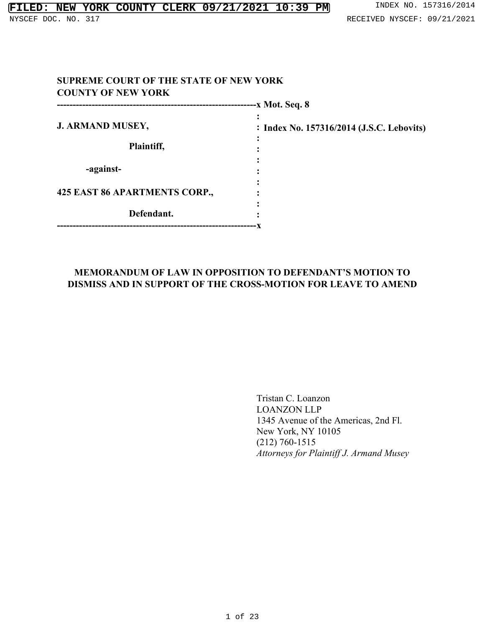| -x Mot. Seq. 8                |                                           |  |
|-------------------------------|-------------------------------------------|--|
| <b>J. ARMAND MUSEY,</b>       | : Index No. 157316/2014 (J.S.C. Lebovits) |  |
| Plaintiff,                    |                                           |  |
| -against-                     |                                           |  |
| 425 EAST 86 APARTMENTS CORP., |                                           |  |
| Defendant.                    |                                           |  |

# **MEMORANDUM OF LAW IN OPPOSITION TO DEFENDANT'S MOTION TO DISMISS AND IN SUPPORT OF THE CROSS-MOTION FOR LEAVE TO AMEND**

Tristan C. Loanzon LOANZON LLP 1345 Avenue of the Americas, 2nd Fl. New York, NY 10105 (212) 760-1515 *Attorneys for Plaintiff J. Armand Musey*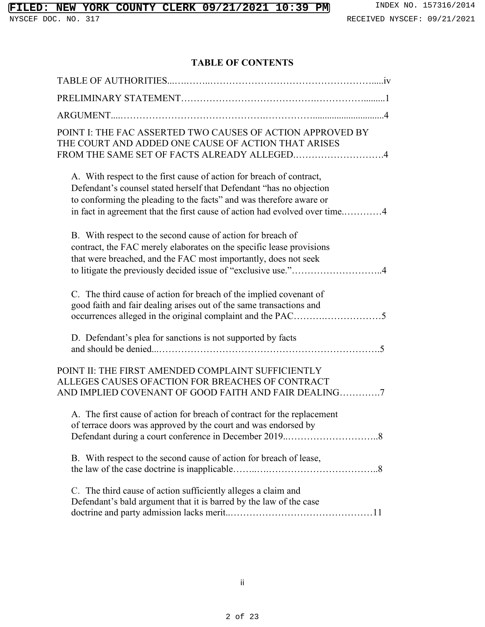# **TABLE OF CONTENTS**

| POINT I: THE FAC ASSERTED TWO CAUSES OF ACTION APPROVED BY<br>THE COURT AND ADDED ONE CAUSE OF ACTION THAT ARISES<br>FROM THE SAME SET OF FACTS ALREADY ALLEGED4                                                                                                                                 |
|--------------------------------------------------------------------------------------------------------------------------------------------------------------------------------------------------------------------------------------------------------------------------------------------------|
| A. With respect to the first cause of action for breach of contract,<br>Defendant's counsel stated herself that Defendant "has no objection<br>to conforming the pleading to the facts" and was therefore aware or<br>in fact in agreement that the first cause of action had evolved over time4 |
| B. With respect to the second cause of action for breach of<br>contract, the FAC merely elaborates on the specific lease provisions<br>that were breached, and the FAC most importantly, does not seek<br>to litigate the previously decided issue of "exclusive use."4                          |
| C. The third cause of action for breach of the implied covenant of<br>good faith and fair dealing arises out of the same transactions and                                                                                                                                                        |
| D. Defendant's plea for sanctions is not supported by facts                                                                                                                                                                                                                                      |
| POINT II: THE FIRST AMENDED COMPLAINT SUFFICIENTLY<br>ALLEGES CAUSES OFACTION FOR BREACHES OF CONTRACT<br>AND IMPLIED COVENANT OF GOOD FAITH AND FAIR DEALING7                                                                                                                                   |
| A. The first cause of action for breach of contract for the replacement<br>of terrace doors was approved by the court and was endorsed by                                                                                                                                                        |
| B. With respect to the second cause of action for breach of lease,                                                                                                                                                                                                                               |
| C. The third cause of action sufficiently alleges a claim and<br>Defendant's bald argument that it is barred by the law of the case                                                                                                                                                              |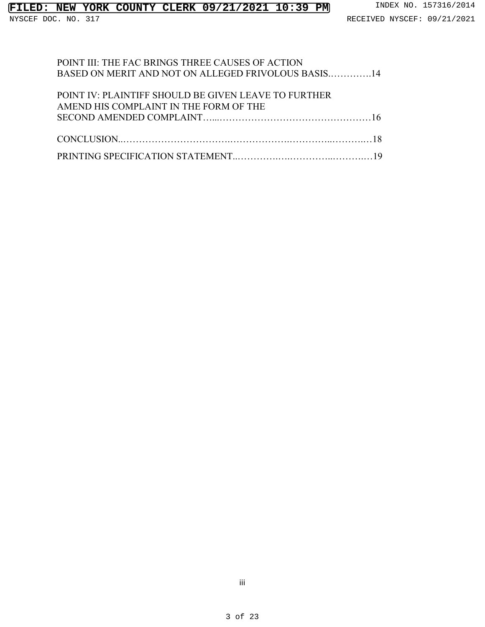### POINT III: THE FAC BRINGS THREE CAUSES OF ACTION BASED ON MERIT AND NOT ON ALLEGED FRIVOLOUS BASIS.………….14

| POINT IV: PLAINTIFF SHOULD BE GIVEN LEAVE TO FURTHER |
|------------------------------------------------------|
| AMEND HIS COMPLAINT IN THE FORM OF THE               |
|                                                      |
|                                                      |
|                                                      |
|                                                      |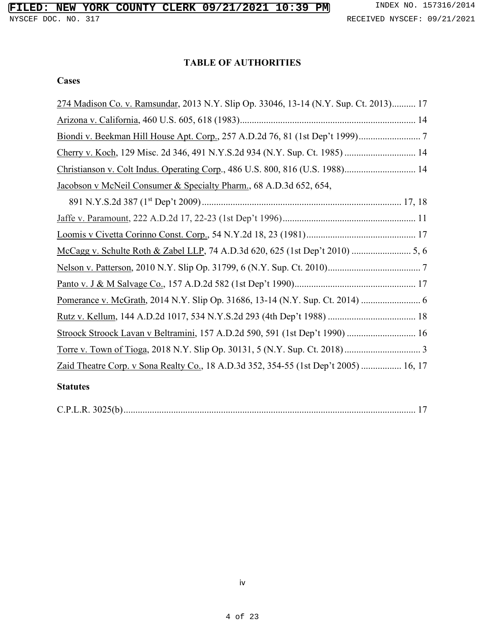# **TABLE OF AUTHORITIES**

#### **Cases**

| 274 Madison Co. v. Ramsundar, 2013 N.Y. Slip Op. 33046, 13-14 (N.Y. Sup. Ct. 2013) 17 |
|---------------------------------------------------------------------------------------|
|                                                                                       |
|                                                                                       |
| Cherry v. Koch, 129 Misc. 2d 346, 491 N.Y.S.2d 934 (N.Y. Sup. Ct. 1985)  14           |
| Christianson v. Colt Indus. Operating Corp., 486 U.S. 800, 816 (U.S. 1988) 14         |
| Jacobson v McNeil Consumer & Specialty Pharm., 68 A.D.3d 652, 654,                    |
|                                                                                       |
|                                                                                       |
|                                                                                       |
| McCagg v. Schulte Roth & Zabel LLP, 74 A.D.3d 620, 625 (1st Dep't 2010)  5, 6         |
|                                                                                       |
|                                                                                       |
|                                                                                       |
|                                                                                       |
| Stroock Stroock Lavan v Beltramini, 157 A.D.2d 590, 591 (1st Dep't 1990)  16          |
|                                                                                       |
| Zaid Theatre Corp. v Sona Realty Co., 18 A.D.3d 352, 354-55 (1st Dep't 2005)  16, 17  |
|                                                                                       |

#### **Statutes**

|--|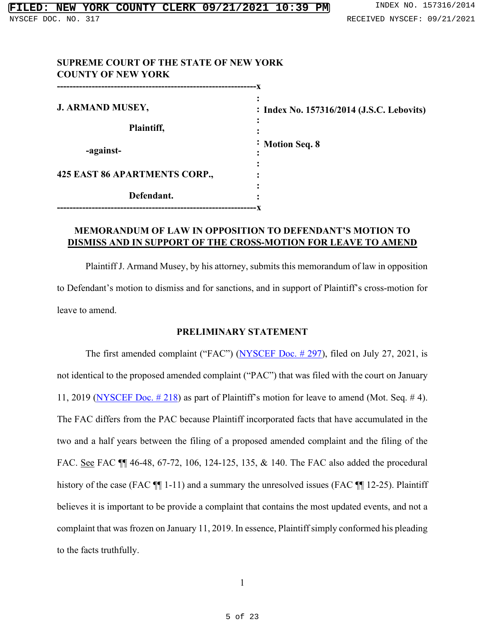| <b>SUPREME COURT OF THE STATE OF NEW YORK</b><br><b>COUNTY OF NEW YORK</b> |                                           |
|----------------------------------------------------------------------------|-------------------------------------------|
| <b>J. ARMAND MUSEY,</b>                                                    | : Index No. 157316/2014 (J.S.C. Lebovits) |
| Plaintiff,                                                                 |                                           |
| -against-                                                                  | <i>i</i> Motion Seq. 8                    |
| 425 EAST 86 APARTMENTS CORP.,                                              |                                           |
| Defendant.<br>-------------------------                                    |                                           |

## **MEMORANDUM OF LAW IN OPPOSITION TO DEFENDANT'S MOTION TO DISMISS AND IN SUPPORT OF THE CROSS-MOTION FOR LEAVE TO AMEND**

Plaintiff J. Armand Musey, by his attorney, submits this memorandum of law in opposition to Defendant's motion to dismiss and for sanctions, and in support of Plaintiff's cross-motion for leave to amend.

#### **PRELIMINARY STATEMENT**

The first amended complaint ("FAC") [\(NYSCEF Doc. # 297\)](https://iapps.courts.state.ny.us/nyscef/ViewDocument?docIndex=x4VOjcWUeM9SHyQlpBHdLg==), filed on July 27, 2021, is not identical to the proposed amended complaint ("PAC") that was filed with the court on January 11, 2019 (NYSCEF Doc.  $\#$  218) as part of Plaintiff's motion for leave to amend (Mot. Seq.  $\#$  4). The FAC differs from the PAC because Plaintiff incorporated facts that have accumulated in the two and a half years between the filing of a proposed amended complaint and the filing of the FAC. See FAC  $\P$  46-48, 67-72, 106, 124-125, 135, & 140. The FAC also added the procedural history of the case (FAC  $\P$ [1-11) and a summary the unresolved issues (FAC  $\P$ [12-25). Plaintiff believes it is important to be provide a complaint that contains the most updated events, and not a complaint that was frozen on January 11, 2019. In essence, Plaintiff simply conformed his pleading to the facts truthfully.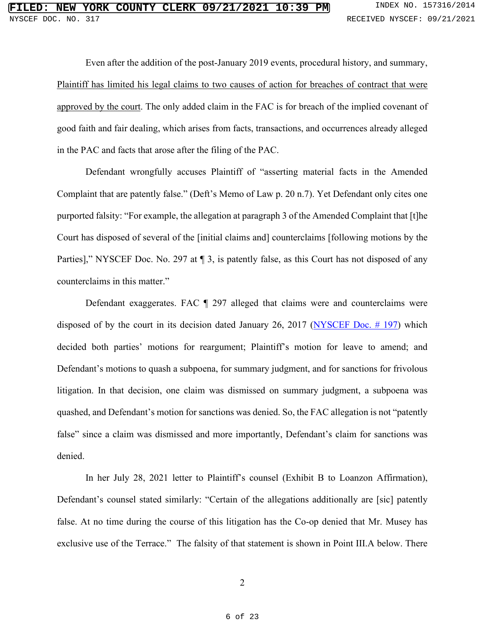Even after the addition of the post-January 2019 events, procedural history, and summary, Plaintiff has limited his legal claims to two causes of action for breaches of contract that were approved by the court. The only added claim in the FAC is for breach of the implied covenant of good faith and fair dealing, which arises from facts, transactions, and occurrences already alleged in the PAC and facts that arose after the filing of the PAC.

Defendant wrongfully accuses Plaintiff of "asserting material facts in the Amended Complaint that are patently false." (Deft's Memo of Law p. 20 n.7). Yet Defendant only cites one purported falsity: "For example, the allegation at paragraph 3 of the Amended Complaint that [t]he Court has disposed of several of the [initial claims and] counterclaims [following motions by the Parties]," NYSCEF Doc. No. 297 at  $\P$  3, is patently false, as this Court has not disposed of any counterclaims in this matter."

Defendant exaggerates. FAC ¶ 297 alleged that claims were and counterclaims were disposed of by the court in its decision dated January 26, 2017 [\(NYSCEF Doc. # 197\)](https://iapps.courts.state.ny.us/nyscef/ViewDocument?docIndex=/_PLUS_e_PLUS_jn5Z7UmWl77Xuyi8_PLUS_A==) which decided both parties' motions for reargument; Plaintiff's motion for leave to amend; and Defendant's motions to quash a subpoena, for summary judgment, and for sanctions for frivolous litigation. In that decision, one claim was dismissed on summary judgment, a subpoena was quashed, and Defendant's motion for sanctions was denied. So, the FAC allegation is not "patently false" since a claim was dismissed and more importantly, Defendant's claim for sanctions was denied.

In her July 28, 2021 letter to Plaintiff's counsel (Exhibit B to Loanzon Affirmation), Defendant's counsel stated similarly: "Certain of the allegations additionally are [sic] patently false. At no time during the course of this litigation has the Co-op denied that Mr. Musey has exclusive use of the Terrace." The falsity of that statement is shown in Point III.A below. There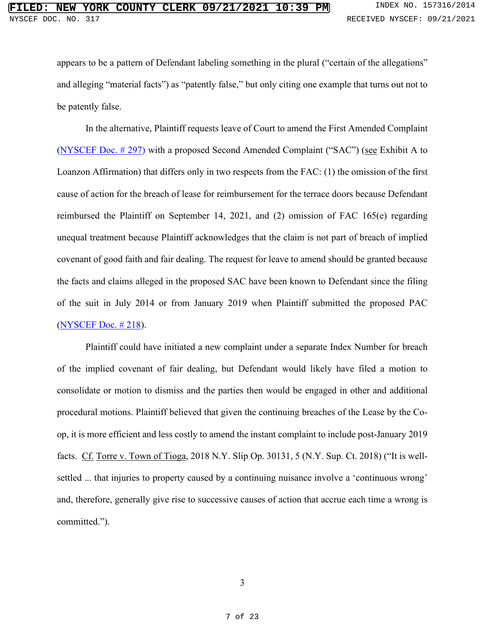appears to be a pattern of Defendant labeling something in the plural ("certain of the allegations" and alleging "material facts") as "patently false," but only citing one example that turns out not to be patently false.

In the alternative, Plaintiff requests leave of Court to amend the First Amended Complaint [\(NYSCEF Doc. # 297\)](https://iapps.courts.state.ny.us/nyscef/ViewDocument?docIndex=x4VOjcWUeM9SHyQlpBHdLg==) with a proposed Second Amended Complaint ("SAC") (see Exhibit A to Loanzon Affirmation) that differs only in two respects from the FAC: (1) the omission of the first cause of action for the breach of lease for reimbursement for the terrace doors because Defendant reimbursed the Plaintiff on September 14, 2021, and (2) omission of FAC 165(e) regarding unequal treatment because Plaintiff acknowledges that the claim is not part of breach of implied covenant of good faith and fair dealing. The request for leave to amend should be granted because the facts and claims alleged in the proposed SAC have been known to Defendant since the filing of the suit in July 2014 or from January 2019 when Plaintiff submitted the proposed PAC [\(NYSCEF Doc. # 218\)](https://iapps.courts.state.ny.us/nyscef/ViewDocument?docIndex=ALTK8gm7_PLUS_Nv724cin62KOA==).

Plaintiff could have initiated a new complaint under a separate Index Number for breach of the implied covenant of fair dealing, but Defendant would likely have filed a motion to consolidate or motion to dismiss and the parties then would be engaged in other and additional procedural motions. Plaintiff believed that given the continuing breaches of the Lease by the Coop, it is more efficient and less costly to amend the instant complaint to include post-January 2019 facts. Cf. Torre v. Town of Tioga, 2018 N.Y. Slip Op. 30131, 5 (N.Y. Sup. Ct. 2018) ("It is wellsettled ... that injuries to property caused by a continuing nuisance involve a 'continuous wrong' and, therefore, generally give rise to successive causes of action that accrue each time a wrong is committed.").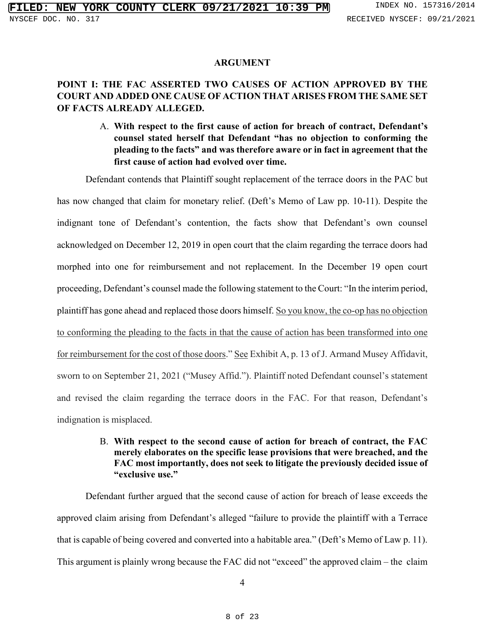#### **ARGUMENT**

### **POINT I: THE FAC ASSERTED TWO CAUSES OF ACTION APPROVED BY THE COURT AND ADDED ONE CAUSE OF ACTION THAT ARISES FROM THE SAME SET OF FACTS ALREADY ALLEGED.**

A. **With respect to the first cause of action for breach of contract, Defendant's counsel stated herself that Defendant "has no objection to conforming the pleading to the facts" and was therefore aware or in fact in agreement that the first cause of action had evolved over time.**

Defendant contends that Plaintiff sought replacement of the terrace doors in the PAC but

has now changed that claim for monetary relief. (Deft's Memo of Law pp. 10-11). Despite the indignant tone of Defendant's contention, the facts show that Defendant's own counsel acknowledged on December 12, 2019 in open court that the claim regarding the terrace doors had morphed into one for reimbursement and not replacement. In the December 19 open court proceeding, Defendant's counsel made the following statement to the Court: "In the interim period, plaintiff has gone ahead and replaced those doors himself. So you know, the co-op has no objection to conforming the pleading to the facts in that the cause of action has been transformed into one for reimbursement for the cost of those doors." See Exhibit A, p. 13 of J. Armand Musey Affidavit, sworn to on September 21, 2021 ("Musey Affid."). Plaintiff noted Defendant counsel's statement and revised the claim regarding the terrace doors in the FAC. For that reason, Defendant's indignation is misplaced.

### B. **With respect to the second cause of action for breach of contract, the FAC merely elaborates on the specific lease provisions that were breached, and the FAC most importantly, does not seek to litigate the previously decided issue of "exclusive use."**

Defendant further argued that the second cause of action for breach of lease exceeds the approved claim arising from Defendant's alleged "failure to provide the plaintiff with a Terrace that is capable of being covered and converted into a habitable area." (Deft's Memo of Law p. 11). This argument is plainly wrong because the FAC did not "exceed" the approved claim – the claim

4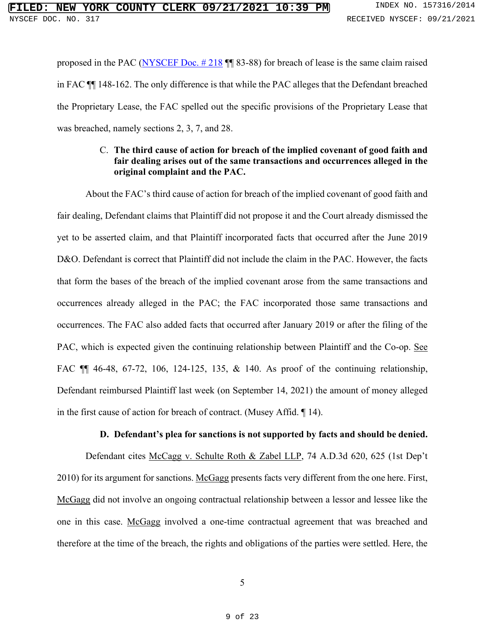proposed in the PAC (NYSCEF Doc.  $\#218$  || 83-88) for breach of lease is the same claim raised in FAC ¶¶ 148-162. The only difference is that while the PAC alleges that the Defendant breached the Proprietary Lease, the FAC spelled out the specific provisions of the Proprietary Lease that was breached, namely sections 2, 3, 7, and 28.

### C. **The third cause of action for breach of the implied covenant of good faith and fair dealing arises out of the same transactions and occurrences alleged in the original complaint and the PAC.**

About the FAC's third cause of action for breach of the implied covenant of good faith and fair dealing, Defendant claims that Plaintiff did not propose it and the Court already dismissed the yet to be asserted claim, and that Plaintiff incorporated facts that occurred after the June 2019 D&O. Defendant is correct that Plaintiff did not include the claim in the PAC. However, the facts that form the bases of the breach of the implied covenant arose from the same transactions and occurrences already alleged in the PAC; the FAC incorporated those same transactions and occurrences. The FAC also added facts that occurred after January 2019 or after the filing of the PAC, which is expected given the continuing relationship between Plaintiff and the Co-op. See FAC ¶¶ 46-48, 67-72, 106, 124-125, 135, & 140. As proof of the continuing relationship, Defendant reimbursed Plaintiff last week (on September 14, 2021) the amount of money alleged in the first cause of action for breach of contract. (Musey Affid. ¶ 14).

#### **D. Defendant's plea for sanctions is not supported by facts and should be denied.**

Defendant cites McCagg v. Schulte Roth & Zabel LLP, 74 A.D.3d 620, 625 (1st Dep't 2010) for its argument for sanctions. McGagg presents facts very different from the one here. First, McGagg did not involve an ongoing contractual relationship between a lessor and lessee like the one in this case. McGagg involved a one-time contractual agreement that was breached and therefore at the time of the breach, the rights and obligations of the parties were settled. Here, the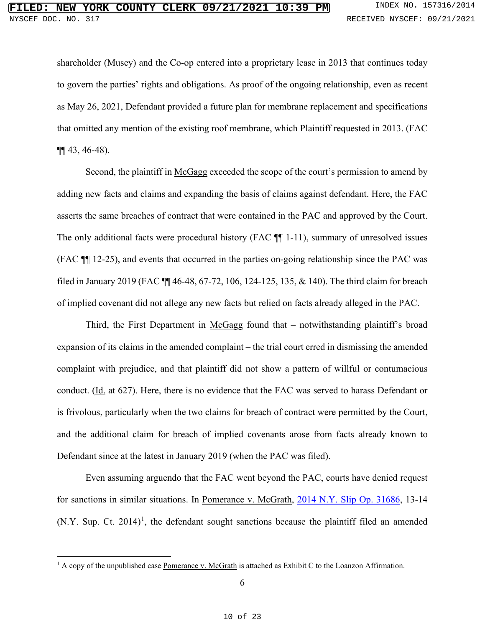shareholder (Musey) and the Co-op entered into a proprietary lease in 2013 that continues today to govern the parties' rights and obligations. As proof of the ongoing relationship, even as recent as May 26, 2021, Defendant provided a future plan for membrane replacement and specifications that omitted any mention of the existing roof membrane, which Plaintiff requested in 2013. (FAC ¶¶ 43, 46-48).

Second, the plaintiff in McGagg exceeded the scope of the court's permission to amend by adding new facts and claims and expanding the basis of claims against defendant. Here, the FAC asserts the same breaches of contract that were contained in the PAC and approved by the Court. The only additional facts were procedural history (FAC  $\P$  1-11), summary of unresolved issues (FAC ¶¶ 12-25), and events that occurred in the parties on-going relationship since the PAC was filed in January 2019 (FAC ¶¶ 46-48, 67-72, 106, 124-125, 135, & 140). The third claim for breach of implied covenant did not allege any new facts but relied on facts already alleged in the PAC.

Third, the First Department in McGagg found that – notwithstanding plaintiff's broad expansion of its claims in the amended complaint – the trial court erred in dismissing the amended complaint with prejudice, and that plaintiff did not show a pattern of willful or contumacious conduct. (Id. at 627). Here, there is no evidence that the FAC was served to harass Defendant or is frivolous, particularly when the two claims for breach of contract were permitted by the Court, and the additional claim for breach of implied covenants arose from facts already known to Defendant since at the latest in January 2019 (when the PAC was filed).

Even assuming arguendo that the FAC went beyond the PAC, courts have denied request for sanctions in similar situations. In Pomerance v. McGrath, [2014 N.Y. Slip Op. 31686,](https://casetext.com/case/pomerance-v-mcgrath-15) 13-14  $(N.Y.$  Sup. Ct. 20[1](#page-9-0)4)<sup>1</sup>, the defendant sought sanctions because the plaintiff filed an amended

<span id="page-9-0"></span> $1$  A copy of the unpublished case Pomerance v. McGrath is attached as Exhibit C to the Loanzon Affirmation.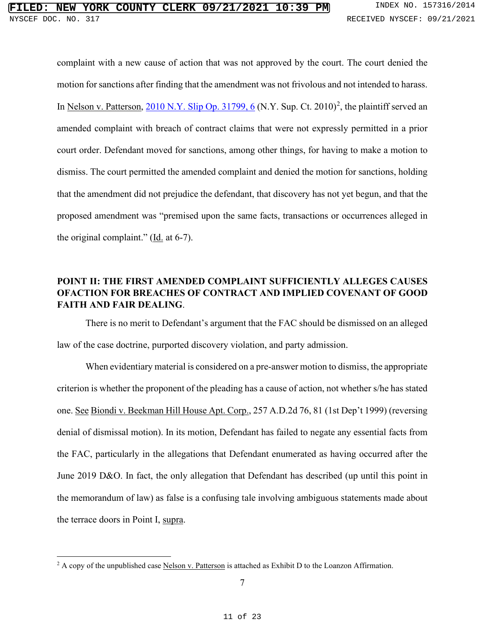complaint with a new cause of action that was not approved by the court. The court denied the motion for sanctions after finding that the amendment was not frivolous and not intended to harass. In Nelson v. Patterson, [2010 N.Y. Slip Op. 31799, 6](https://casetext.com/case/nelson-v-patterson-3) (N.Y. Sup. Ct. [2](#page-10-0)010)<sup>2</sup>, the plaintiff served an amended complaint with breach of contract claims that were not expressly permitted in a prior court order. Defendant moved for sanctions, among other things, for having to make a motion to dismiss. The court permitted the amended complaint and denied the motion for sanctions, holding that the amendment did not prejudice the defendant, that discovery has not yet begun, and that the proposed amendment was "premised upon the same facts, transactions or occurrences alleged in the original complaint." (Id. at 6-7).

# **POINT II: THE FIRST AMENDED COMPLAINT SUFFICIENTLY ALLEGES CAUSES OFACTION FOR BREACHES OF CONTRACT AND IMPLIED COVENANT OF GOOD FAITH AND FAIR DEALING**.

There is no merit to Defendant's argument that the FAC should be dismissed on an alleged law of the case doctrine, purported discovery violation, and party admission.

When evidentiary material is considered on a pre-answer motion to dismiss, the appropriate criterion is whether the proponent of the pleading has a cause of action, not whether s/he has stated one. See Biondi v. Beekman Hill House Apt. Corp., 257 A.D.2d 76, 81 (1st Dep't 1999) (reversing denial of dismissal motion). In its motion, Defendant has failed to negate any essential facts from the FAC, particularly in the allegations that Defendant enumerated as having occurred after the June 2019 D&O. In fact, the only allegation that Defendant has described (up until this point in the memorandum of law) as false is a confusing tale involving ambiguous statements made about the terrace doors in Point I, supra.

<span id="page-10-0"></span> $2 A$  copy of the unpublished case Nelson v. Patterson is attached as Exhibit D to the Loanzon Affirmation.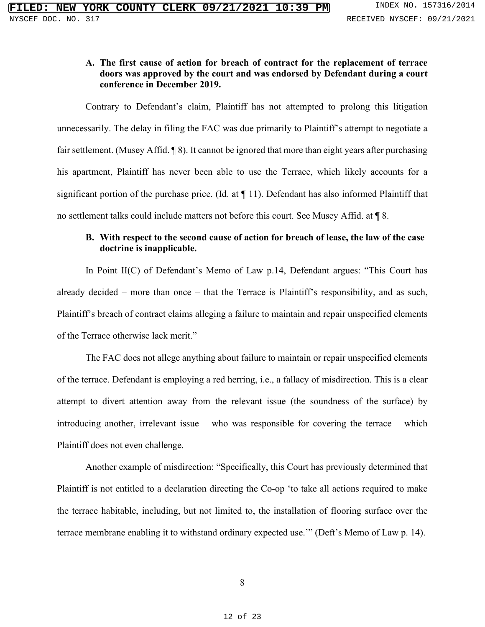### **A. The first cause of action for breach of contract for the replacement of terrace doors was approved by the court and was endorsed by Defendant during a court conference in December 2019.**

Contrary to Defendant's claim, Plaintiff has not attempted to prolong this litigation unnecessarily. The delay in filing the FAC was due primarily to Plaintiff's attempt to negotiate a fair settlement. (Musey Affid. ¶ 8). It cannot be ignored that more than eight years after purchasing his apartment, Plaintiff has never been able to use the Terrace, which likely accounts for a significant portion of the purchase price. (Id. at ¶ 11). Defendant has also informed Plaintiff that no settlement talks could include matters not before this court. See Musey Affid. at ¶ 8.

### **B. With respect to the second cause of action for breach of lease, the law of the case doctrine is inapplicable.**

In Point II(C) of Defendant's Memo of Law p.14, Defendant argues: "This Court has already decided – more than once – that the Terrace is Plaintiff's responsibility, and as such, Plaintiff's breach of contract claims alleging a failure to maintain and repair unspecified elements of the Terrace otherwise lack merit."

The FAC does not allege anything about failure to maintain or repair unspecified elements of the terrace. Defendant is employing a red herring, i.e., a fallacy of misdirection. This is a clear attempt to divert attention away from the relevant issue (the soundness of the surface) by introducing another, irrelevant issue – who was responsible for covering the terrace – which Plaintiff does not even challenge.

Another example of misdirection: "Specifically, this Court has previously determined that Plaintiff is not entitled to a declaration directing the Co-op 'to take all actions required to make the terrace habitable, including, but not limited to, the installation of flooring surface over the terrace membrane enabling it to withstand ordinary expected use.'" (Deft's Memo of Law p. 14).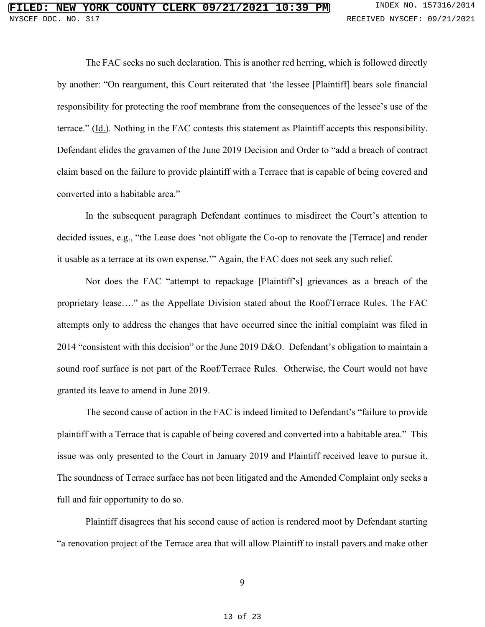The FAC seeks no such declaration. This is another red herring, which is followed directly by another: "On reargument, this Court reiterated that 'the lessee [Plaintiff] bears sole financial responsibility for protecting the roof membrane from the consequences of the lessee's use of the terrace." (Id.). Nothing in the FAC contests this statement as Plaintiff accepts this responsibility. Defendant elides the gravamen of the June 2019 Decision and Order to "add a breach of contract claim based on the failure to provide plaintiff with a Terrace that is capable of being covered and converted into a habitable area."

In the subsequent paragraph Defendant continues to misdirect the Court's attention to decided issues, e.g., "the Lease does 'not obligate the Co-op to renovate the [Terrace] and render it usable as a terrace at its own expense.'" Again, the FAC does not seek any such relief.

Nor does the FAC "attempt to repackage [Plaintiff's] grievances as a breach of the proprietary lease…." as the Appellate Division stated about the Roof/Terrace Rules. The FAC attempts only to address the changes that have occurred since the initial complaint was filed in 2014 "consistent with this decision" or the June 2019 D&O. Defendant's obligation to maintain a sound roof surface is not part of the Roof/Terrace Rules. Otherwise, the Court would not have granted its leave to amend in June 2019.

The second cause of action in the FAC is indeed limited to Defendant's "failure to provide plaintiff with a Terrace that is capable of being covered and converted into a habitable area." This issue was only presented to the Court in January 2019 and Plaintiff received leave to pursue it. The soundness of Terrace surface has not been litigated and the Amended Complaint only seeks a full and fair opportunity to do so.

Plaintiff disagrees that his second cause of action is rendered moot by Defendant starting "a renovation project of the Terrace area that will allow Plaintiff to install pavers and make other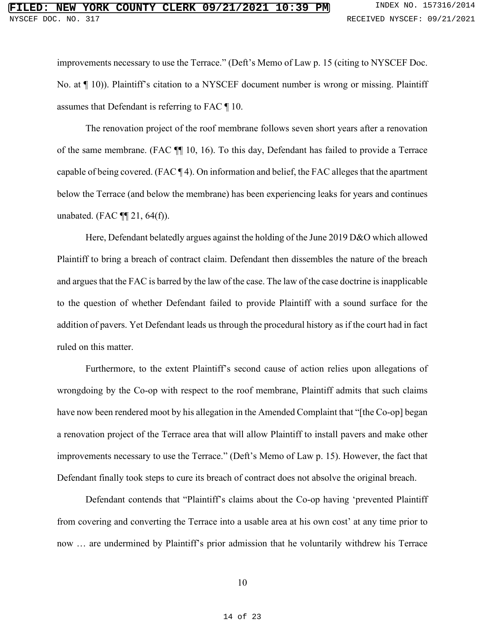improvements necessary to use the Terrace." (Deft's Memo of Law p. 15 (citing to NYSCEF Doc. No. at  $\P$  10)). Plaintiff's citation to a NYSCEF document number is wrong or missing. Plaintiff assumes that Defendant is referring to FAC ¶ 10.

The renovation project of the roof membrane follows seven short years after a renovation of the same membrane. (FAC ¶¶ 10, 16). To this day, Defendant has failed to provide a Terrace capable of being covered. (FAC ¶ 4). On information and belief, the FAC alleges that the apartment below the Terrace (and below the membrane) has been experiencing leaks for years and continues unabated. (FAC  $\P$ [21, 64(f)).

Here, Defendant belatedly argues against the holding of the June 2019 D&O which allowed Plaintiff to bring a breach of contract claim. Defendant then dissembles the nature of the breach and argues that the FAC is barred by the law of the case. The law of the case doctrine is inapplicable to the question of whether Defendant failed to provide Plaintiff with a sound surface for the addition of pavers. Yet Defendant leads us through the procedural history as if the court had in fact ruled on this matter.

Furthermore, to the extent Plaintiff's second cause of action relies upon allegations of wrongdoing by the Co-op with respect to the roof membrane, Plaintiff admits that such claims have now been rendered moot by his allegation in the Amended Complaint that "[the Co-op] began a renovation project of the Terrace area that will allow Plaintiff to install pavers and make other improvements necessary to use the Terrace." (Deft's Memo of Law p. 15). However, the fact that Defendant finally took steps to cure its breach of contract does not absolve the original breach.

Defendant contends that "Plaintiff's claims about the Co-op having 'prevented Plaintiff from covering and converting the Terrace into a usable area at his own cost' at any time prior to now … are undermined by Plaintiff's prior admission that he voluntarily withdrew his Terrace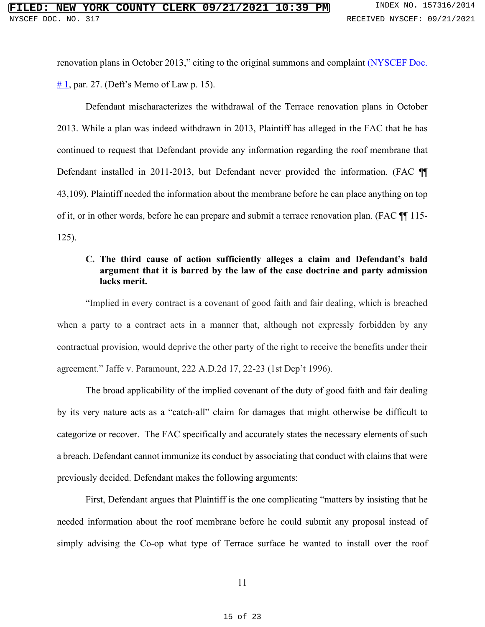renovation plans in October 2013," citing to the original summons and complaint (NYSCEF Doc.  $# 1$ , par. 27. (Deft's Memo of Law p. 15).

Defendant mischaracterizes the withdrawal of the Terrace renovation plans in October 2013. While a plan was indeed withdrawn in 2013, Plaintiff has alleged in the FAC that he has continued to request that Defendant provide any information regarding the roof membrane that Defendant installed in 2011-2013, but Defendant never provided the information. (FAC ¶¶ 43,109). Plaintiff needed the information about the membrane before he can place anything on top of it, or in other words, before he can prepare and submit a terrace renovation plan. (FAC ¶¶ 115- 125).

### **C. The third cause of action sufficiently alleges a claim and Defendant's bald argument that it is barred by the law of the case doctrine and party admission lacks merit.**

"Implied in every contract is a covenant of good faith and fair dealing, which is breached when a party to a contract acts in a manner that, although not expressly forbidden by any contractual provision, would deprive the other party of the right to receive the benefits under their agreement." Jaffe v. Paramount, 222 A.D.2d 17, 22-23 (1st Dep't 1996).

The broad applicability of the implied covenant of the duty of good faith and fair dealing by its very nature acts as a "catch-all" claim for damages that might otherwise be difficult to categorize or recover. The FAC specifically and accurately states the necessary elements of such a breach. Defendant cannot immunize its conduct by associating that conduct with claims that were previously decided. Defendant makes the following arguments:

First, Defendant argues that Plaintiff is the one complicating "matters by insisting that he needed information about the roof membrane before he could submit any proposal instead of simply advising the Co-op what type of Terrace surface he wanted to install over the roof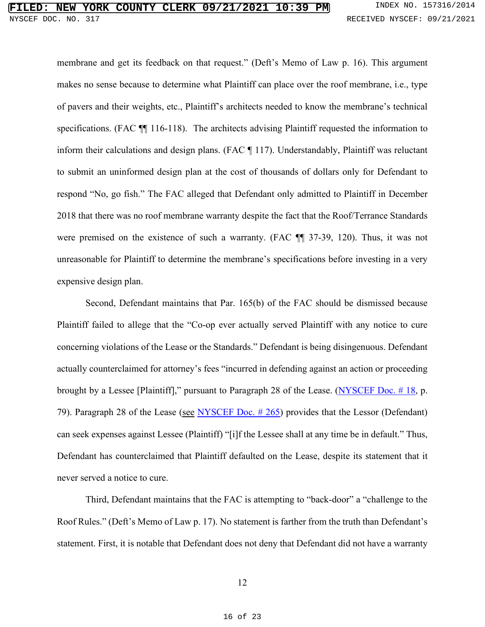membrane and get its feedback on that request." (Deft's Memo of Law p. 16). This argument makes no sense because to determine what Plaintiff can place over the roof membrane, i.e., type of pavers and their weights, etc., Plaintiff's architects needed to know the membrane's technical specifications. (FAC  $\P$  116-118). The architects advising Plaintiff requested the information to inform their calculations and design plans. (FAC ¶ 117). Understandably, Plaintiff was reluctant to submit an uninformed design plan at the cost of thousands of dollars only for Defendant to respond "No, go fish." The FAC alleged that Defendant only admitted to Plaintiff in December 2018 that there was no roof membrane warranty despite the fact that the Roof/Terrance Standards were premised on the existence of such a warranty. (FAC ¶¶ 37-39, 120). Thus, it was not unreasonable for Plaintiff to determine the membrane's specifications before investing in a very expensive design plan.

Second, Defendant maintains that Par. 165(b) of the FAC should be dismissed because Plaintiff failed to allege that the "Co-op ever actually served Plaintiff with any notice to cure concerning violations of the Lease or the Standards." Defendant is being disingenuous. Defendant actually counterclaimed for attorney's fees "incurred in defending against an action or proceeding brought by a Lessee [Plaintiff]," pursuant to Paragraph 28 of the Lease. (NYSCEF Doc.  $\#$  18, p. 79). Paragraph 28 of the Lease (see [NYSCEF Doc. # 265\)](https://iapps.courts.state.ny.us/nyscef/ViewDocument?docIndex=gLYxA6O7PSIlpMtb1CIVSg==) provides that the Lessor (Defendant) can seek expenses against Lessee (Plaintiff) "[i]f the Lessee shall at any time be in default." Thus, Defendant has counterclaimed that Plaintiff defaulted on the Lease, despite its statement that it never served a notice to cure.

Third, Defendant maintains that the FAC is attempting to "back-door" a "challenge to the Roof Rules." (Deft's Memo of Law p. 17). No statement is farther from the truth than Defendant's statement. First, it is notable that Defendant does not deny that Defendant did not have a warranty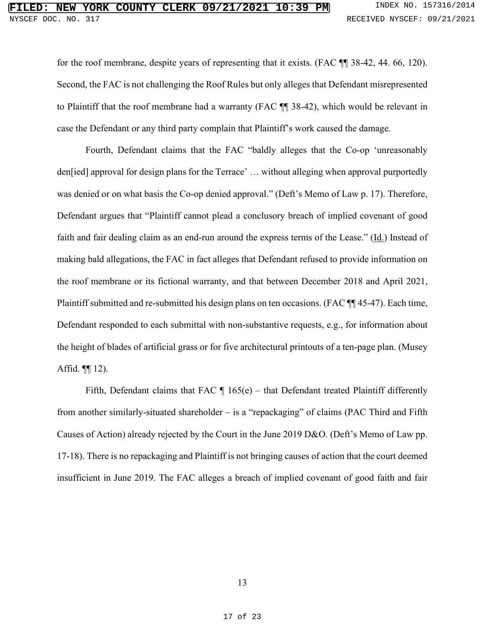for the roof membrane, despite years of representing that it exists. (FAC  $\P$  138-42, 44. 66, 120). Second, the FAC is not challenging the Roof Rules but only alleges that Defendant misrepresented to Plaintiff that the roof membrane had a warranty (FAC ¶¶ 38-42), which would be relevant in case the Defendant or any third party complain that Plaintiff's work caused the damage.

Fourth, Defendant claims that the FAC "baldly alleges that the Co-op 'unreasonably den[ied] approval for design plans for the Terrace' … without alleging when approval purportedly was denied or on what basis the Co-op denied approval." (Deft's Memo of Law p. 17). Therefore, Defendant argues that "Plaintiff cannot plead a conclusory breach of implied covenant of good faith and fair dealing claim as an end-run around the express terms of the Lease." (Id.) Instead of making bald allegations, the FAC in fact alleges that Defendant refused to provide information on the roof membrane or its fictional warranty, and that between December 2018 and April 2021, Plaintiff submitted and re-submitted his design plans on ten occasions. (FAC ¶¶ 45-47). Each time, Defendant responded to each submittal with non-substantive requests, e.g., for information about the height of blades of artificial grass or for five architectural printouts of a ten-page plan. (Musey Affid.  $\P$ [12).

Fifth, Defendant claims that FAC  $\P$  165(e) – that Defendant treated Plaintiff differently from another similarly-situated shareholder – is a "repackaging" of claims (PAC Third and Fifth Causes of Action) already rejected by the Court in the June 2019 D&O. (Deft's Memo of Law pp. 17-18). There is no repackaging and Plaintiff is not bringing causes of action that the court deemed insufficient in June 2019. The FAC alleges a breach of implied covenant of good faith and fair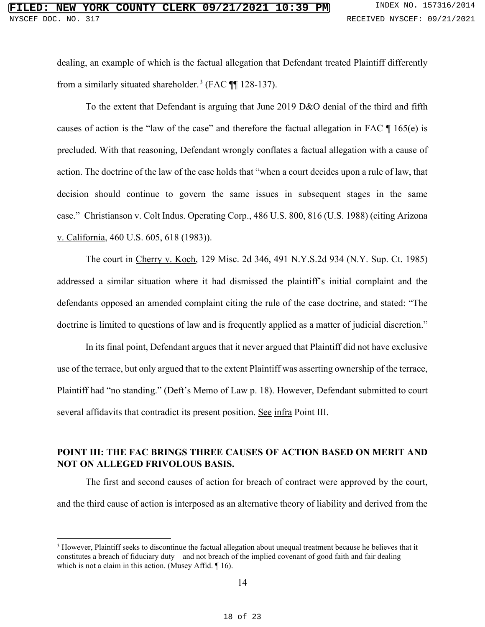dealing, an example of which is the factual allegation that Defendant treated Plaintiff differently from a similarly situated shareholder.<sup>[3](#page-17-0)</sup> (FAC  $\P$  128-137).

To the extent that Defendant is arguing that June 2019 D&O denial of the third and fifth causes of action is the "law of the case" and therefore the factual allegation in FAC ¶ 165(e) is precluded. With that reasoning, Defendant wrongly conflates a factual allegation with a cause of action. The doctrine of the law of the case holds that "when a court decides upon a rule of law, that decision should continue to govern the same issues in subsequent stages in the same case." Christianson v. Colt Indus. Operating Corp., 486 U.S. 800, 816 (U.S. 1988) (citing Arizona v. California, 460 U.S. 605, 618 (1983)).

The court in Cherry v. Koch, 129 Misc. 2d 346, 491 N.Y.S.2d 934 (N.Y. Sup. Ct. 1985) addressed a similar situation where it had dismissed the plaintiff's initial complaint and the defendants opposed an amended complaint citing the rule of the case doctrine, and stated: "The doctrine is limited to questions of law and is frequently applied as a matter of judicial discretion."

In its final point, Defendant argues that it never argued that Plaintiff did not have exclusive use of the terrace, but only argued that to the extent Plaintiff was asserting ownership of the terrace, Plaintiff had "no standing." (Deft's Memo of Law p. 18). However, Defendant submitted to court several affidavits that contradict its present position. See infra Point III.

# **POINT III: THE FAC BRINGS THREE CAUSES OF ACTION BASED ON MERIT AND NOT ON ALLEGED FRIVOLOUS BASIS.**

The first and second causes of action for breach of contract were approved by the court, and the third cause of action is interposed as an alternative theory of liability and derived from the

14

<span id="page-17-0"></span><sup>&</sup>lt;sup>3</sup> However, Plaintiff seeks to discontinue the factual allegation about unequal treatment because he believes that it constitutes a breach of fiduciary duty – and not breach of the implied covenant of good faith and fair dealing – which is not a claim in this action. (Musey Affid. ¶ 16).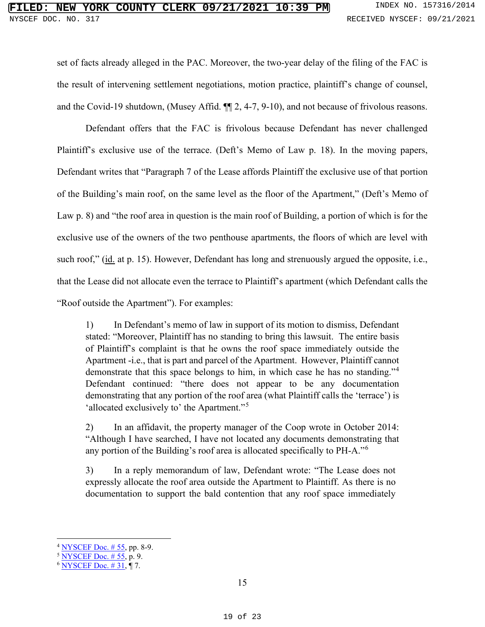### **NEW YORK COUNTY CLERK 09/21/2021 10:39 PM** INDEX NO. 157316/2014 NYSCEF DOC. NO. 317 **RECEIVED NYSCEF: 09/21/2021**

set of facts already alleged in the PAC. Moreover, the two-year delay of the filing of the FAC is the result of intervening settlement negotiations, motion practice, plaintiff's change of counsel, and the Covid-19 shutdown, (Musey Affid. ¶¶ 2, 4-7, 9-10), and not because of frivolous reasons.

Defendant offers that the FAC is frivolous because Defendant has never challenged Plaintiff's exclusive use of the terrace. (Deft's Memo of Law p. 18). In the moving papers, Defendant writes that "Paragraph 7 of the Lease affords Plaintiff the exclusive use of that portion of the Building's main roof, on the same level as the floor of the Apartment," (Deft's Memo of Law p. 8) and "the roof area in question is the main roof of Building, a portion of which is for the exclusive use of the owners of the two penthouse apartments, the floors of which are level with such roof," (id. at p. 15). However, Defendant has long and strenuously argued the opposite, i.e., that the Lease did not allocate even the terrace to Plaintiff's apartment (which Defendant calls the "Roof outside the Apartment"). For examples:

1) In Defendant's memo of law in support of its motion to dismiss, Defendant stated: "Moreover, Plaintiff has no standing to bring this lawsuit. The entire basis of Plaintiff's complaint is that he owns the roof space immediately outside the Apartment -i.e., that is part and parcel of the Apartment. However, Plaintiff cannot demonstrate that this space belongs to him, in which case he has no standing."[4](#page-18-0) Defendant continued: "there does not appear to be any documentation demonstrating that any portion of the roof area (what Plaintiff calls the 'terrace') is 'allocated exclusively to' the Apartment."[5](#page-18-1)

2) In an affidavit, the property manager of the Coop wrote in October 2014: "Although I have searched, I have not located any documents demonstrating that any portion of the Building's roof area is allocated specifically to PH-A."[6](#page-18-2)

3) In a reply memorandum of law, Defendant wrote: "The Lease does not expressly allocate the roof area outside the Apartment to Plaintiff. As there is no documentation to support the bald contention that any roof space immediately

<span id="page-18-0"></span> $4$  NYSCEF Doc. #55, pp. 8-9.

<span id="page-18-1"></span> $5 NYSCEPT Doc. # 55, p. 9.$ 

<span id="page-18-2"></span> $6$  NYSCEF Doc.  $\# 31, \P 7$ .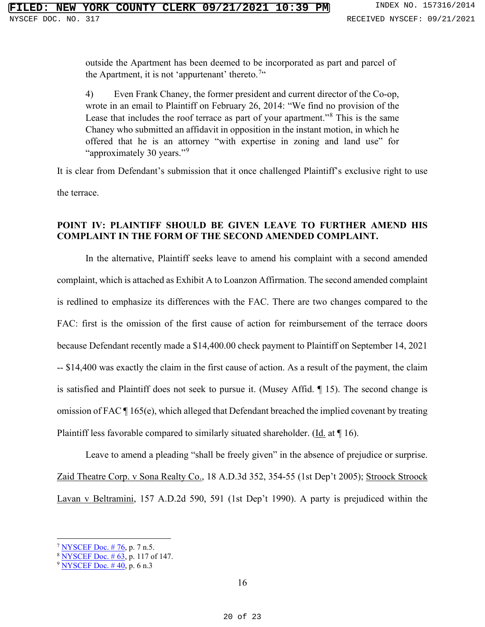outside the Apartment has been deemed to be incorporated as part and parcel of the Apartment, it is not 'appurtenant' thereto.<sup>[7](#page-19-0)"</sup>

4) Even Frank Chaney, the former president and current director of the Co-op, wrote in an email to Plaintiff on February 26, 2014: "We find no provision of the Lease that includes the roof terrace as part of your apartment."[8](#page-19-1) This is the same Chaney who submitted an affidavit in opposition in the instant motion, in which he offered that he is an attorney "with expertise in zoning and land use" for "approximately 30 years."<sup>[9](#page-19-2)</sup>

It is clear from Defendant's submission that it once challenged Plaintiff's exclusive right to use the terrace.

### **POINT IV: PLAINTIFF SHOULD BE GIVEN LEAVE TO FURTHER AMEND HIS COMPLAINT IN THE FORM OF THE SECOND AMENDED COMPLAINT.**

In the alternative, Plaintiff seeks leave to amend his complaint with a second amended complaint, which is attached as Exhibit A to Loanzon Affirmation. The second amended complaint is redlined to emphasize its differences with the FAC. There are two changes compared to the FAC: first is the omission of the first cause of action for reimbursement of the terrace doors because Defendant recently made a \$14,400.00 check payment to Plaintiff on September 14, 2021 -- \$14,400 was exactly the claim in the first cause of action. As a result of the payment, the claim is satisfied and Plaintiff does not seek to pursue it. (Musey Affid. ¶ 15). The second change is omission of FAC ¶ 165(e), which alleged that Defendant breached the implied covenant by treating Plaintiff less favorable compared to similarly situated shareholder. (Id. at ¶ 16).

Leave to amend a pleading "shall be freely given" in the absence of prejudice or surprise. Zaid Theatre Corp. v Sona Realty Co., 18 A.D.3d 352, 354-55 (1st Dep't 2005); Stroock Stroock Lavan v Beltramini, 157 A.D.2d 590, 591 (1st Dep't 1990). A party is prejudiced within the

<span id="page-19-0"></span> $7$  [NYSCEF Doc. # 76,](https://iapps.courts.state.ny.us/nyscef/ViewDocument?docIndex=392IVPBxIjIDEHfllsYZmA==) p. 7 n.5.

<span id="page-19-1"></span><sup>&</sup>lt;sup>8</sup> NYSCEF Doc. #63, p. 117 of 147.

<span id="page-19-2"></span> $9$  NYSCEF Doc. #40, p. 6 n.3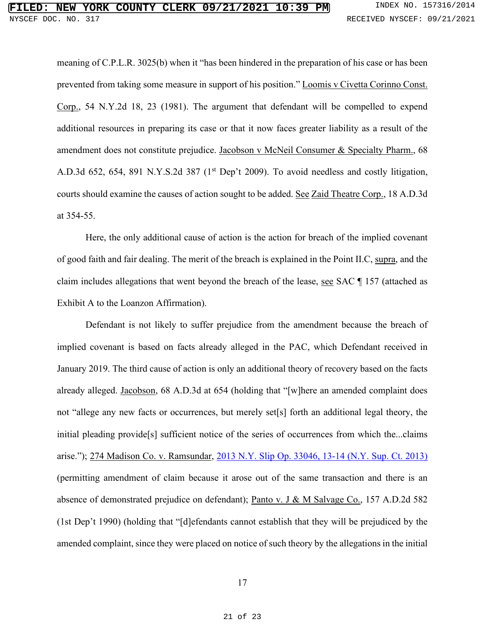# **FIRE COUNTY CLERK 09/21/2021 10:39 PM** INDEX NO. 157316/2014 NYSCEF DOC. NO. 317 **RECEIVED NYSCEF: 09/21/2021**

meaning of C.P.L.R. 3025(b) when it "has been hindered in the preparation of his case or has been prevented from taking some measure in support of his position." Loomis v Civetta Corinno Const. Corp., 54 N.Y.2d 18, 23 (1981). The argument that defendant will be compelled to expend additional resources in preparing its case or that it now faces greater liability as a result of the amendment does not constitute prejudice. Jacobson v McNeil Consumer & Specialty Pharm., 68 A.D.3d 652, 654, 891 N.Y.S.2d 387 (1<sup>st</sup> Dep't 2009). To avoid needless and costly litigation, courts should examine the causes of action sought to be added. See Zaid Theatre Corp., 18 A.D.3d at 354-55.

Here, the only additional cause of action is the action for breach of the implied covenant of good faith and fair dealing. The merit of the breach is explained in the Point II.C, supra, and the claim includes allegations that went beyond the breach of the lease, see SAC ¶ 157 (attached as Exhibit A to the Loanzon Affirmation).

Defendant is not likely to suffer prejudice from the amendment because the breach of implied covenant is based on facts already alleged in the PAC, which Defendant received in January 2019. The third cause of action is only an additional theory of recovery based on the facts already alleged. Jacobson, 68 A.D.3d at 654 (holding that "[w]here an amended complaint does not "allege any new facts or occurrences, but merely set[s] forth an additional legal theory, the initial pleading provide[s] sufficient notice of the series of occurrences from which the...claims arise."); 274 Madison Co. v. Ramsundar, [2013 N.Y. Slip Op. 33046, 13-14 \(N.Y. Sup. Ct. 2013\)](https://casetext.com/case/274-madison-co-v-ramsundar) (permitting amendment of claim because it arose out of the same transaction and there is an absence of demonstrated prejudice on defendant); Panto v. J & M Salvage Co., 157 A.D.2d 582 (1st Dep't 1990) (holding that "[d]efendants cannot establish that they will be prejudiced by the amended complaint, since they were placed on notice of such theory by the allegations in the initial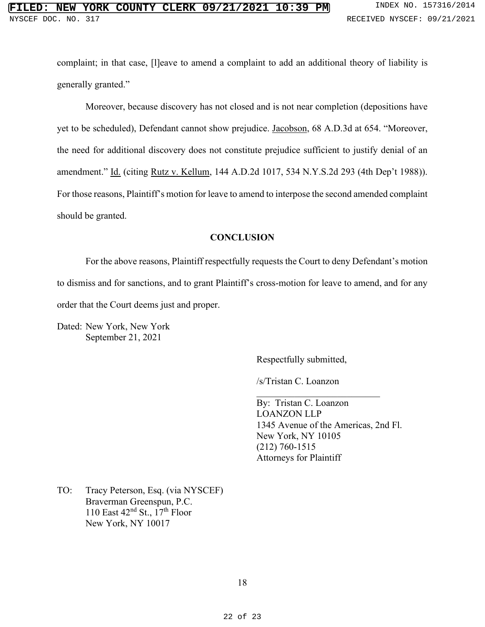complaint; in that case, [l]eave to amend a complaint to add an additional theory of liability is generally granted."

Moreover, because discovery has not closed and is not near completion (depositions have yet to be scheduled), Defendant cannot show prejudice. Jacobson, 68 A.D.3d at 654. "Moreover, the need for additional discovery does not constitute prejudice sufficient to justify denial of an amendment." Id. (citing Rutz v. Kellum, 144 A.D.2d 1017, 534 N.Y.S.2d 293 (4th Dep't 1988)). For those reasons, Plaintiff's motion for leave to amend to interpose the second amended complaint should be granted.

#### **CONCLUSION**

For the above reasons, Plaintiff respectfully requests the Court to deny Defendant's motion to dismiss and for sanctions, and to grant Plaintiff's cross-motion for leave to amend, and for any order that the Court deems just and proper.

Dated: New York, New York September 21, 2021

Respectfully submitted,

/s/Tristan C. Loanzon

By: Tristan C. Loanzon LOANZON LLP 1345 Avenue of the Americas, 2nd Fl. New York, NY 10105 (212) 760-1515 Attorneys for Plaintiff

TO: Tracy Peterson, Esq. (via NYSCEF) Braverman Greenspun, P.C. 110 East  $42<sup>nd</sup>$  St.,  $17<sup>th</sup>$  Floor New York, NY 10017